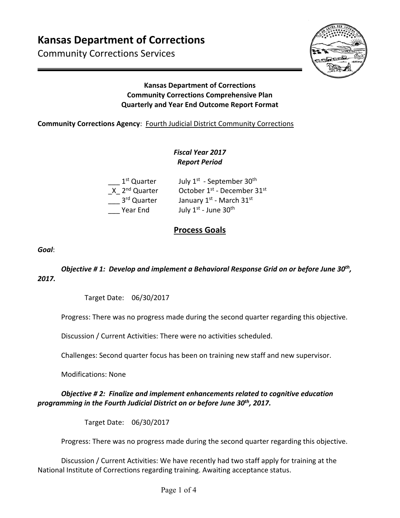# **Kansas Department of Corrections**

Community Corrections Services



## **Kansas Department of Corrections Community Corrections Comprehensive Plan Quarterly and Year End Outcome Report Format**

#### **Community Corrections Agency: Fourth Judicial District Community Corrections**

## *Fiscal Year 2017 Report Period*

| 1 <sup>st</sup> Quarter   | July 1 <sup>st</sup> - September 30 <sup>th</sup>   |
|---------------------------|-----------------------------------------------------|
| X 2 <sup>nd</sup> Quarter | October 1 <sup>st</sup> - December 31 <sup>st</sup> |
| 3 <sup>rd</sup> Quarter   | January 1st - March 31st                            |
| Year End                  | July 1st - June 30th                                |

## **Process Goals**

*Goal*:

*Objective # 1: Develop and implement a Behavioral Response Grid on or before June 30th, 2017.* 

Target Date: 06/30/2017

Progress: There was no progress made during the second quarter regarding this objective.

Discussion / Current Activities: There were no activities scheduled.

Challenges: Second quarter focus has been on training new staff and new supervisor.

Modifications: None

## *Objective # 2: Finalize and implement enhancements related to cognitive education programming in the Fourth Judicial District on or before June 30th, 2017.*

Target Date: 06/30/2017

Progress: There was no progress made during the second quarter regarding this objective.

Discussion / Current Activities: We have recently had two staff apply for training at the National Institute of Corrections regarding training. Awaiting acceptance status.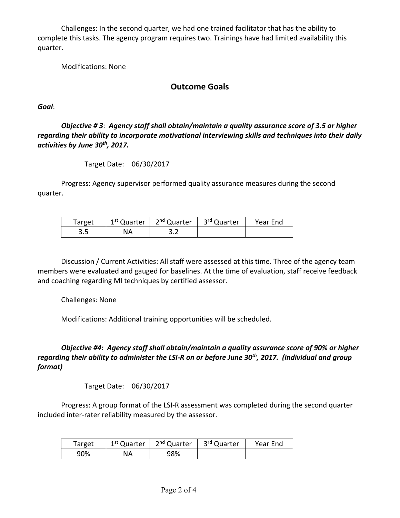Challenges: In the second quarter, we had one trained facilitator that has the ability to complete this tasks. The agency program requires two. Trainings have had limited availability this quarter.

Modifications: None

## **Outcome Goals**

*Goal*:

*Objective # 3*: *Agency staff shall obtain/maintain a quality assurance score of 3.5 or higher regarding their ability to incorporate motivational interviewing skills and techniques into their daily activities by June 30th, 2017.* 

Target Date: 06/30/2017

Progress: Agency supervisor performed quality assurance measures during the second quarter.

| Target | 1 <sup>st</sup> Quarter | 2 <sup>nd</sup> Quarter | 3 <sup>rd</sup> Quarter | Year End |
|--------|-------------------------|-------------------------|-------------------------|----------|
| 3.5    | NА                      |                         |                         |          |

Discussion / Current Activities: All staff were assessed at this time. Three of the agency team members were evaluated and gauged for baselines. At the time of evaluation, staff receive feedback and coaching regarding MI techniques by certified assessor.

Challenges: None

Modifications: Additional training opportunities will be scheduled.

*Objective #4: Agency staff shall obtain/maintain a quality assurance score of 90% or higher regarding their ability to administer the LSI‐R on or before June 30th, 2017. (individual and group format)* 

Target Date: 06/30/2017

Progress: A group format of the LSI‐R assessment was completed during the second quarter included inter‐rater reliability measured by the assessor.

| Target | 1 <sup>st</sup> Quarter | 2 <sup>nd</sup> Quarter | 3 <sup>rd</sup> Quarter | Year End |
|--------|-------------------------|-------------------------|-------------------------|----------|
| 90%    | NA                      | 98%                     |                         |          |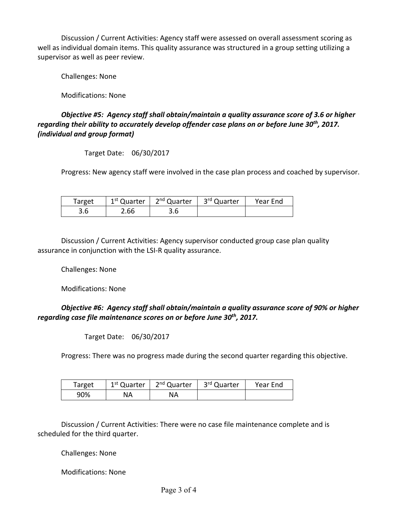Discussion / Current Activities: Agency staff were assessed on overall assessment scoring as well as individual domain items. This quality assurance was structured in a group setting utilizing a supervisor as well as peer review.

Challenges: None

Modifications: None

*Objective #5: Agency staff shall obtain/maintain a quality assurance score of 3.6 or higher regarding their ability to accurately develop offender case plans on or before June 30th, 2017. (individual and group format)* 

Target Date: 06/30/2017

Progress: New agency staff were involved in the case plan process and coached by supervisor.

| Target | 1 <sup>st</sup> Quarter | 2 <sup>nd</sup> Quarter | 3 <sup>rd</sup> Quarter | Year End |
|--------|-------------------------|-------------------------|-------------------------|----------|
| 3.6    | 2.66                    |                         |                         |          |

Discussion / Current Activities: Agency supervisor conducted group case plan quality assurance in conjunction with the LSI‐R quality assurance.

Challenges: None

Modifications: None

*Objective #6: Agency staff shall obtain/maintain a quality assurance score of 90% or higher regarding case file maintenance scores on or before June 30th, 2017.* 

Target Date: 06/30/2017

Progress: There was no progress made during the second quarter regarding this objective.

| Target | 1 <sup>st</sup> Quarter | 2 <sup>nd</sup> Quarter | ∟ 3 <sup>rd</sup> Quarter | Year End |
|--------|-------------------------|-------------------------|---------------------------|----------|
| 90%    | NA                      | ΝA                      |                           |          |

Discussion / Current Activities: There were no case file maintenance complete and is scheduled for the third quarter.

Challenges: None

Modifications: None